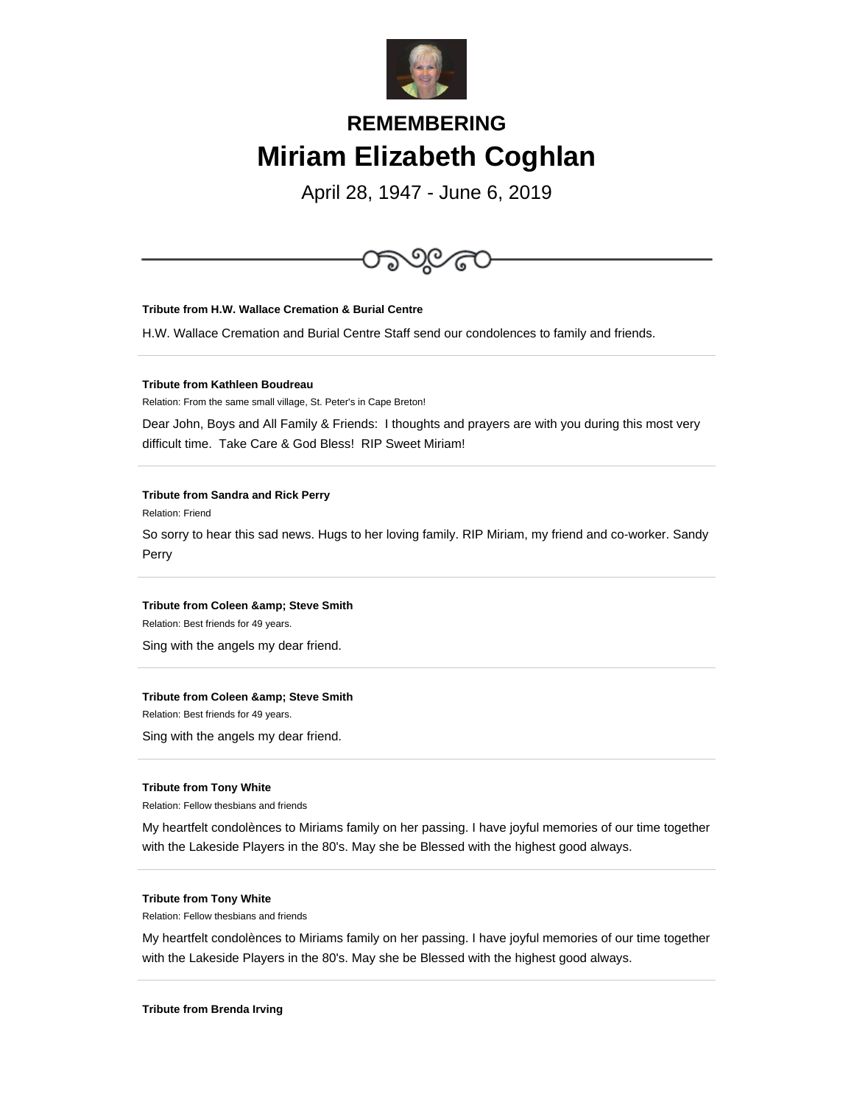

# **REMEMBERING Miriam Elizabeth Coghlan**

April 28, 1947 - June 6, 2019



# **Tribute from H.W. Wallace Cremation & Burial Centre**

H.W. Wallace Cremation and Burial Centre Staff send our condolences to family and friends.

# **Tribute from Kathleen Boudreau**

Relation: From the same small village, St. Peter's in Cape Breton!

Dear John, Boys and All Family & Friends: I thoughts and prayers are with you during this most very difficult time. Take Care & God Bless! RIP Sweet Miriam!

## **Tribute from Sandra and Rick Perry**

Relation: Friend

So sorry to hear this sad news. Hugs to her loving family. RIP Miriam, my friend and co-worker. Sandy Perry

# **Tribute from Coleen & amp; Steve Smith**

Relation: Best friends for 49 years.

Sing with the angels my dear friend.

# **Tribute from Coleen & amp; Steve Smith**

Relation: Best friends for 49 years.

Sing with the angels my dear friend.

#### **Tribute from Tony White**

Relation: Fellow thesbians and friends

My heartfelt condolènces to Miriams family on her passing. I have joyful memories of our time together with the Lakeside Players in the 80's. May she be Blessed with the highest good always.

# **Tribute from Tony White**

Relation: Fellow thesbians and friends

My heartfelt condolènces to Miriams family on her passing. I have joyful memories of our time together with the Lakeside Players in the 80's. May she be Blessed with the highest good always.

## **Tribute from Brenda Irving**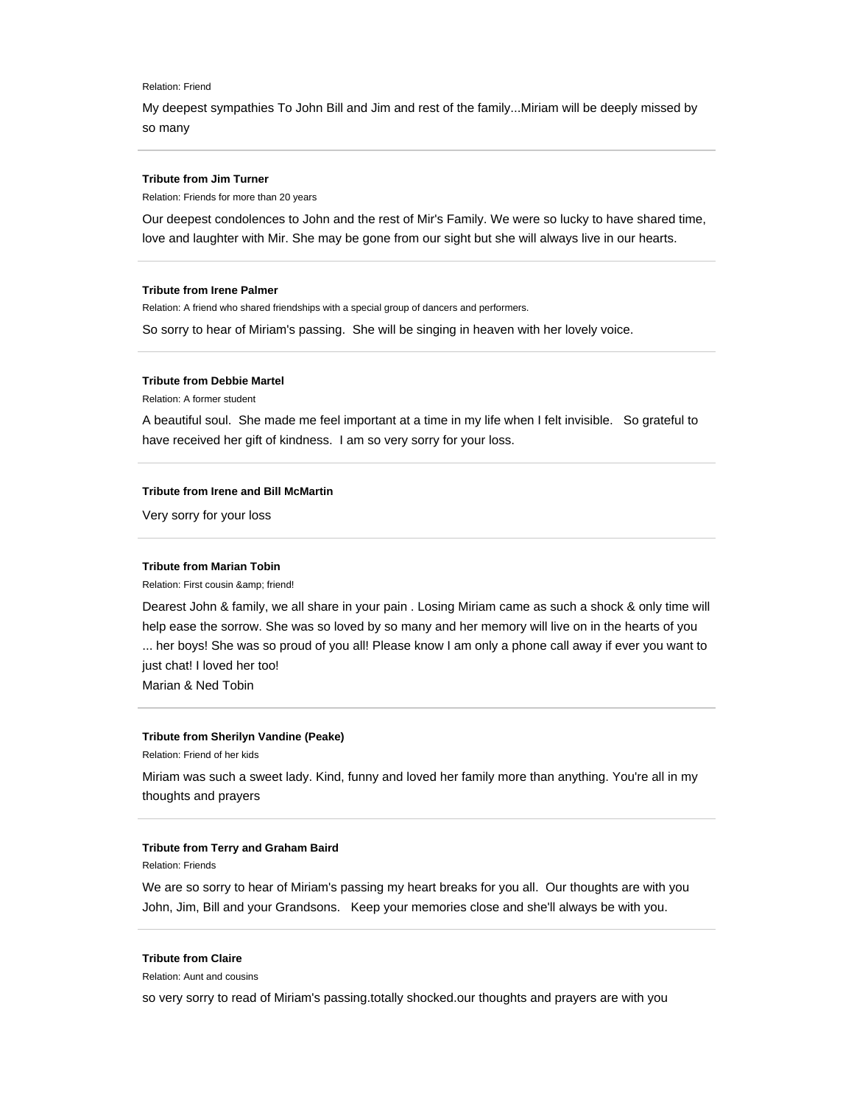#### Relation: Friend

My deepest sympathies To John Bill and Jim and rest of the family...Miriam will be deeply missed by so many

#### **Tribute from Jim Turner**

Relation: Friends for more than 20 years

Our deepest condolences to John and the rest of Mir's Family. We were so lucky to have shared time, love and laughter with Mir. She may be gone from our sight but she will always live in our hearts.

#### **Tribute from Irene Palmer**

Relation: A friend who shared friendships with a special group of dancers and performers.

So sorry to hear of Miriam's passing. She will be singing in heaven with her lovely voice.

# **Tribute from Debbie Martel**

Relation: A former student

A beautiful soul. She made me feel important at a time in my life when I felt invisible. So grateful to have received her gift of kindness. I am so very sorry for your loss.

# **Tribute from Irene and Bill McMartin**

Very sorry for your loss

# **Tribute from Marian Tobin**

Relation: First cousin & amp; friend!

Dearest John & family, we all share in your pain . Losing Miriam came as such a shock & only time will help ease the sorrow. She was so loved by so many and her memory will live on in the hearts of you ... her boys! She was so proud of you all! Please know I am only a phone call away if ever you want to just chat! I loved her too!

Marian & Ned Tobin

## **Tribute from Sherilyn Vandine (Peake)**

Relation: Friend of her kids

Miriam was such a sweet lady. Kind, funny and loved her family more than anything. You're all in my thoughts and prayers

# **Tribute from Terry and Graham Baird**

Relation: Friends

We are so sorry to hear of Miriam's passing my heart breaks for you all. Our thoughts are with you John, Jim, Bill and your Grandsons. Keep your memories close and she'll always be with you.

# **Tribute from Claire**

Relation: Aunt and cousins

so very sorry to read of Miriam's passing.totally shocked.our thoughts and prayers are with you